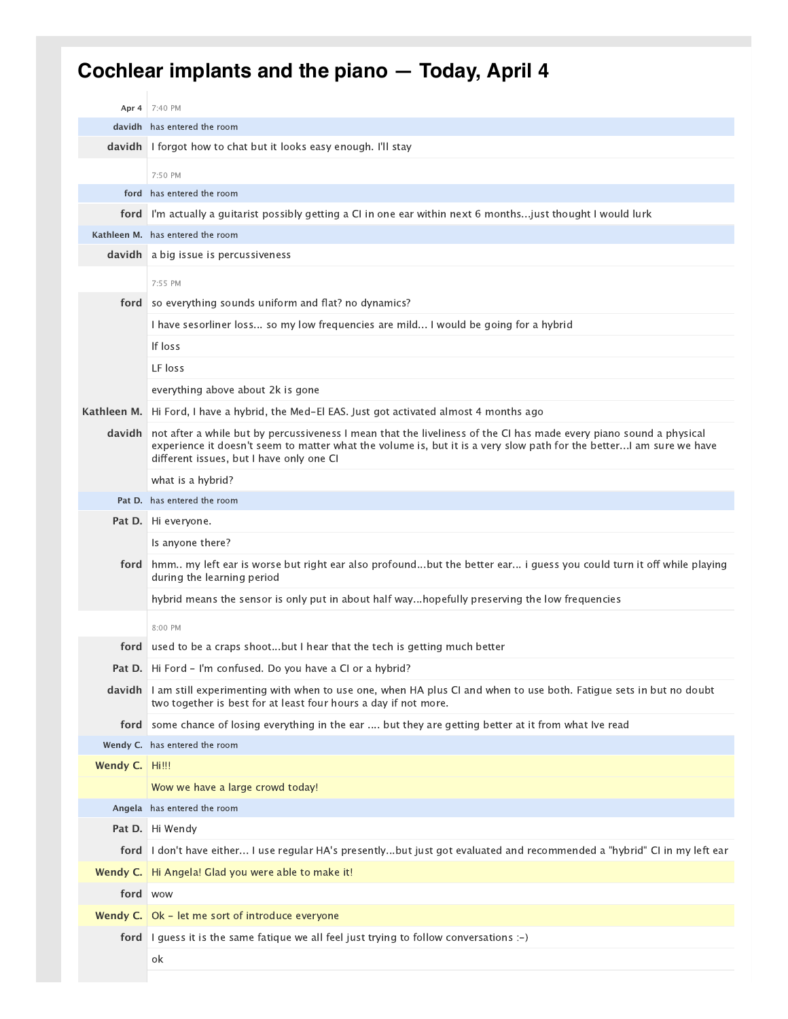## **Cochlear implants and the piano — Today, April 4**

|               | Apr 4 7:40 PM                                                                                                                                                                                                                                                                         |
|---------------|---------------------------------------------------------------------------------------------------------------------------------------------------------------------------------------------------------------------------------------------------------------------------------------|
|               | davidh has entered the room                                                                                                                                                                                                                                                           |
| davidh        | I forgot how to chat but it looks easy enough. I'll stay                                                                                                                                                                                                                              |
|               | 7:50 PM                                                                                                                                                                                                                                                                               |
|               | ford has entered the room                                                                                                                                                                                                                                                             |
| ford          | I'm actually a guitarist possibly getting a CI in one ear within next 6 monthsjust thought I would lurk                                                                                                                                                                               |
|               | Kathleen M. has entered the room                                                                                                                                                                                                                                                      |
|               | <b>davidh</b> a big issue is percussiveness                                                                                                                                                                                                                                           |
|               | 7:55 PM                                                                                                                                                                                                                                                                               |
| ford          | so everything sounds uniform and flat? no dynamics?                                                                                                                                                                                                                                   |
|               | I have sesorliner loss so my low frequencies are mild I would be going for a hybrid                                                                                                                                                                                                   |
|               | If loss                                                                                                                                                                                                                                                                               |
|               | LF loss                                                                                                                                                                                                                                                                               |
|               | everything above about 2k is gone                                                                                                                                                                                                                                                     |
| Kathleen M.   | Hi Ford, I have a hybrid, the Med-El EAS. Just got activated almost 4 months ago                                                                                                                                                                                                      |
| <b>davidh</b> | not after a while but by percussiveness I mean that the liveliness of the CI has made every piano sound a physical<br>experience it doesn't seem to matter what the volume is, but it is a very slow path for the better! am sure we have<br>different issues, but I have only one CI |
|               | what is a hybrid?                                                                                                                                                                                                                                                                     |
|               | Pat D. has entered the room                                                                                                                                                                                                                                                           |
|               | <b>Pat D.</b> Hi everyone.                                                                                                                                                                                                                                                            |
|               | Is anyone there?                                                                                                                                                                                                                                                                      |
| ford          | hmm my left ear is worse but right ear also profoundbut the better ear i guess you could turn it off while playing<br>during the learning period                                                                                                                                      |
|               | hybrid means the sensor is only put in about half wayhopefully preserving the low frequencies                                                                                                                                                                                         |
|               | 8:00 PM                                                                                                                                                                                                                                                                               |
| ford          | used to be a craps shootbut I hear that the tech is getting much better                                                                                                                                                                                                               |
|               | <b>Pat D.</b>   Hi Ford - I'm confused. Do you have a CI or a hybrid?                                                                                                                                                                                                                 |
| davidh        | I am still experimenting with when to use one, when HA plus CI and when to use both. Fatigue sets in but no doubt<br>two together is best for at least four hours a day if not more.                                                                                                  |
| ford          | some chance of losing everything in the ear  but they are getting better at it from what Ive read                                                                                                                                                                                     |
|               | Wendy C. has entered the room                                                                                                                                                                                                                                                         |
| Wendy C.      | Hi!!!                                                                                                                                                                                                                                                                                 |
|               | Wow we have a large crowd today!                                                                                                                                                                                                                                                      |
| Angela        | has entered the room                                                                                                                                                                                                                                                                  |
| Pat D.        | Hi Wendy                                                                                                                                                                                                                                                                              |
| ford          | I don't have either I use regular HA's presentlybut just got evaluated and recommended a "hybrid" CI in my left ear                                                                                                                                                                   |
| Wendy C.      | Hi Angela! Glad you were able to make it!                                                                                                                                                                                                                                             |
| ford          | <b>WOW</b>                                                                                                                                                                                                                                                                            |
| Wendy $C.$    | Ok - let me sort of introduce everyone                                                                                                                                                                                                                                                |
| ford          | I guess it is the same fatique we all feel just trying to follow conversations :-)                                                                                                                                                                                                    |
|               | ok                                                                                                                                                                                                                                                                                    |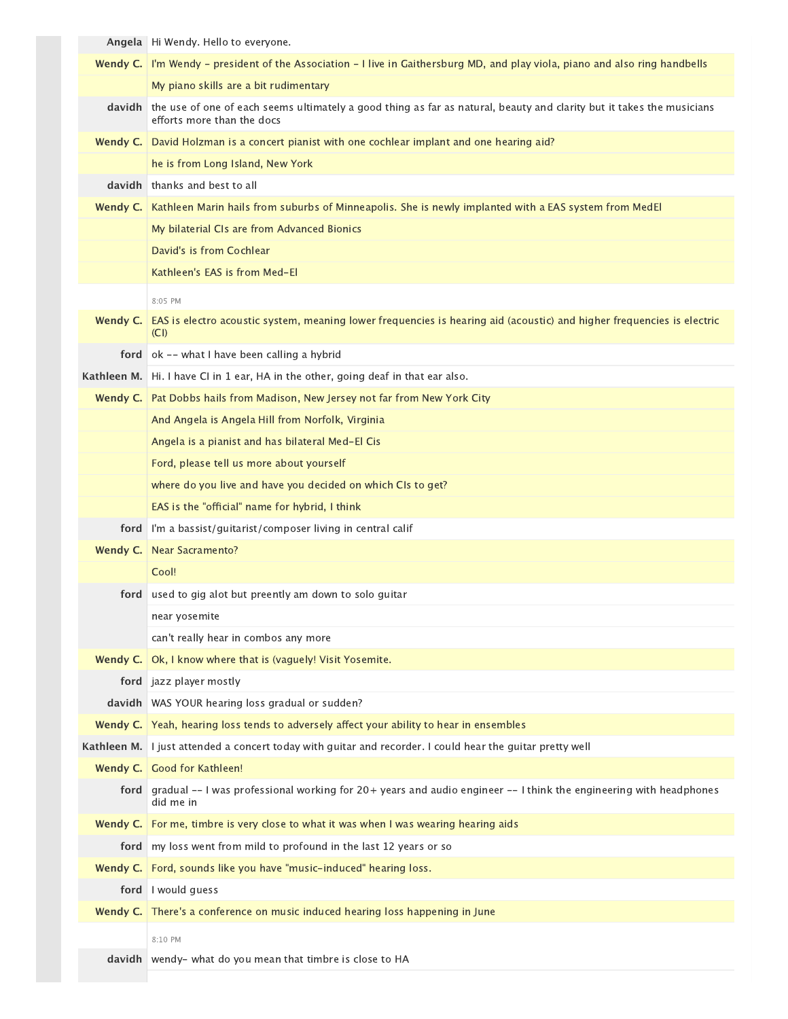|          | Angela   Hi Wendy. Hello to everyone.                                                                                                               |
|----------|-----------------------------------------------------------------------------------------------------------------------------------------------------|
|          | Wendy C.   I'm Wendy - president of the Association - I live in Gaithersburg MD, and play viola, piano and also ring handbells                      |
|          | My piano skills are a bit rudimentary                                                                                                               |
| davidh   | the use of one of each seems ultimately a good thing as far as natural, beauty and clarity but it takes the musicians<br>efforts more than the docs |
| Wendy C. | David Holzman is a concert pianist with one cochlear implant and one hearing aid?                                                                   |
|          | he is from Long Island, New York                                                                                                                    |
|          | <b>davidh</b> thanks and best to all                                                                                                                |
| Wendy C. | Kathleen Marin hails from suburbs of Minneapolis. She is newly implanted with a EAS system from MedEl                                               |
|          | My bilaterial CIs are from Advanced Bionics                                                                                                         |
|          | David's is from Cochlear                                                                                                                            |
|          | Kathleen's EAS is from Med-El                                                                                                                       |
|          | 8:05 PM                                                                                                                                             |
| Wendy C. | EAS is electro acoustic system, meaning lower frequencies is hearing aid (acoustic) and higher frequencies is electric<br>(CI)                      |
|          | ford   ok -- what I have been calling a hybrid                                                                                                      |
|          | Kathleen M. Hi. I have CI in 1 ear, HA in the other, going deaf in that ear also.                                                                   |
| Wendy C. | Pat Dobbs hails from Madison, New Jersey not far from New York City                                                                                 |
|          | And Angela is Angela Hill from Norfolk, Virginia                                                                                                    |
|          | Angela is a pianist and has bilateral Med-El Cis                                                                                                    |
|          | Ford, please tell us more about yourself                                                                                                            |
|          | where do you live and have you decided on which CIs to get?                                                                                         |
|          | EAS is the "official" name for hybrid, I think                                                                                                      |
| ford     | I'm a bassist/guitarist/composer living in central calif                                                                                            |
| Wendy C. | <b>Near Sacramento?</b>                                                                                                                             |
|          | Cool!                                                                                                                                               |
| ford     | used to gig alot but preently am down to solo guitar                                                                                                |
|          | near yosemite                                                                                                                                       |
|          | can't really hear in combos any more                                                                                                                |
| Wendy C. | Ok, I know where that is (vaguely! Visit Yosemite.                                                                                                  |
|          | ford   jazz player mostly                                                                                                                           |
|          | davidh   WAS YOUR hearing loss gradual or sudden?                                                                                                   |
|          | <b>Wendy C.</b> Yeah, hearing loss tends to adversely affect your ability to hear in ensembles                                                      |
|          | Kathleen M. I just attended a concert today with guitar and recorder. I could hear the guitar pretty well                                           |
|          | Wendy C. Good for Kathleen!                                                                                                                         |
| ford     | gradual -- I was professional working for 20+ years and audio engineer -- I think the engineering with headphones<br>did me in                      |
| Wendy C. | For me, timbre is very close to what it was when I was wearing hearing aids                                                                         |
| ford     | my loss went from mild to profound in the last 12 years or so                                                                                       |
| Wendy C. | Ford, sounds like you have "music-induced" hearing loss.                                                                                            |
| ford     | I would guess                                                                                                                                       |
| Wendy C. | There's a conference on music induced hearing loss happening in June                                                                                |
|          | 8:10 PM                                                                                                                                             |
|          | davidh   wendy- what do you mean that timbre is close to HA                                                                                         |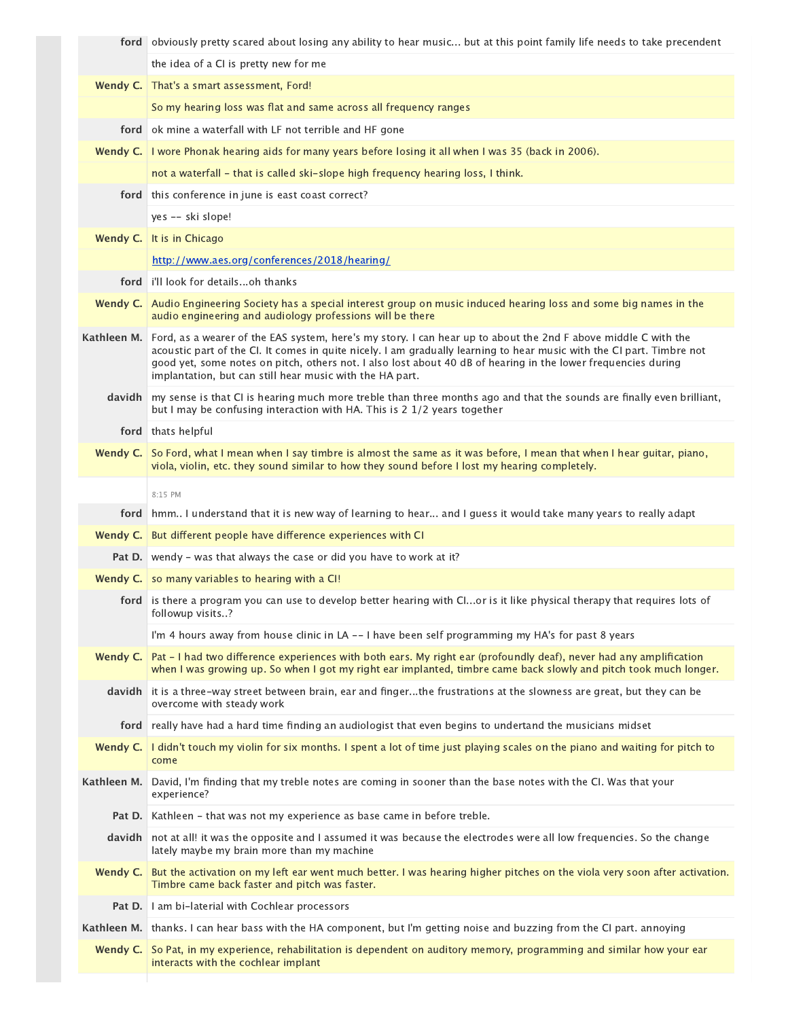|             | ford obviously pretty scared about losing any ability to hear music but at this point family life needs to take precendent                                                                                                                                                                                                                                                                                                       |
|-------------|----------------------------------------------------------------------------------------------------------------------------------------------------------------------------------------------------------------------------------------------------------------------------------------------------------------------------------------------------------------------------------------------------------------------------------|
|             | the idea of a CI is pretty new for me                                                                                                                                                                                                                                                                                                                                                                                            |
| Wendy C.    | That's a smart assessment, Ford!                                                                                                                                                                                                                                                                                                                                                                                                 |
|             | So my hearing loss was flat and same across all frequency ranges                                                                                                                                                                                                                                                                                                                                                                 |
| ford        | ok mine a waterfall with LF not terrible and HF gone                                                                                                                                                                                                                                                                                                                                                                             |
| Wendy C.    | I wore Phonak hearing aids for many years before losing it all when I was 35 (back in 2006).                                                                                                                                                                                                                                                                                                                                     |
|             | not a waterfall - that is called ski-slope high frequency hearing loss, I think.                                                                                                                                                                                                                                                                                                                                                 |
|             | ford this conference in june is east coast correct?                                                                                                                                                                                                                                                                                                                                                                              |
|             | yes -- ski slope!                                                                                                                                                                                                                                                                                                                                                                                                                |
| Wendy C.    | It is in Chicago                                                                                                                                                                                                                                                                                                                                                                                                                 |
|             | http://www.aes.org/conferences/2018/hearing/                                                                                                                                                                                                                                                                                                                                                                                     |
|             | <b>ford</b> i'll look for detailsoh thanks                                                                                                                                                                                                                                                                                                                                                                                       |
|             | Wendy C. Audio Engineering Society has a special interest group on music induced hearing loss and some big names in the<br>audio engineering and audiology professions will be there                                                                                                                                                                                                                                             |
|             | Kathleen M. Ford, as a wearer of the EAS system, here's my story. I can hear up to about the 2nd F above middle C with the<br>acoustic part of the CI. It comes in quite nicely. I am gradually learning to hear music with the CI part. Timbre not<br>good yet, some notes on pitch, others not. I also lost about 40 dB of hearing in the lower frequencies during<br>implantation, but can still hear music with the HA part. |
|             | davidh   my sense is that CI is hearing much more treble than three months ago and that the sounds are finally even brilliant,<br>but I may be confusing interaction with HA. This is 2 1/2 years together                                                                                                                                                                                                                       |
|             | ford thats helpful                                                                                                                                                                                                                                                                                                                                                                                                               |
| Wendy C.    | So Ford, what I mean when I say timbre is almost the same as it was before, I mean that when I hear guitar, piano,<br>viola, violin, etc. they sound similar to how they sound before I lost my hearing completely.                                                                                                                                                                                                              |
|             | 8:15 PM                                                                                                                                                                                                                                                                                                                                                                                                                          |
| ford        | hmm I understand that it is new way of learning to hear and I guess it would take many years to really adapt                                                                                                                                                                                                                                                                                                                     |
| Wendy C.    | But different people have difference experiences with CI                                                                                                                                                                                                                                                                                                                                                                         |
|             | Pat D. wendy - was that always the case or did you have to work at it?                                                                                                                                                                                                                                                                                                                                                           |
|             | <b>Wendy C.</b> so many variables to hearing with a CI!                                                                                                                                                                                                                                                                                                                                                                          |
|             | ford is there a program you can use to develop better hearing with CIor is it like physical therapy that requires lots of<br>followup visits?                                                                                                                                                                                                                                                                                    |
|             | I'm 4 hours away from house clinic in LA -- I have been self programming my HA's for past 8 years                                                                                                                                                                                                                                                                                                                                |
| Wendy C.    | Pat – I had two difference experiences with both ears. My right ear (profoundly deaf), never had any amplification<br>when I was growing up. So when I got my right ear implanted, timbre came back slowly and pitch took much longer.                                                                                                                                                                                           |
| davidh      | it is a three-way street between brain, ear and fingerthe frustrations at the slowness are great, but they can be<br>overcome with steady work                                                                                                                                                                                                                                                                                   |
| ford        | really have had a hard time finding an audiologist that even begins to undertand the musicians midset                                                                                                                                                                                                                                                                                                                            |
| Wendy C.    | I didn't touch my violin for six months. I spent a lot of time just playing scales on the piano and waiting for pitch to<br>come                                                                                                                                                                                                                                                                                                 |
| Kathleen M. | David, I'm finding that my treble notes are coming in sooner than the base notes with the CI. Was that your<br>experience?                                                                                                                                                                                                                                                                                                       |
| Pat D.      | Kathleen - that was not my experience as base came in before treble.                                                                                                                                                                                                                                                                                                                                                             |
| davidh      | not at all! it was the opposite and I assumed it was because the electrodes were all low frequencies. So the change<br>lately maybe my brain more than my machine                                                                                                                                                                                                                                                                |
| Wendy C.    | But the activation on my left ear went much better. I was hearing higher pitches on the viola very soon after activation.<br>Timbre came back faster and pitch was faster.                                                                                                                                                                                                                                                       |
| Pat D.      | I am bi-laterial with Cochlear processors                                                                                                                                                                                                                                                                                                                                                                                        |
| Kathleen M. | thanks. I can hear bass with the HA component, but I'm getting noise and buzzing from the CI part. annoying                                                                                                                                                                                                                                                                                                                      |
| Wendy C.    | So Pat, in my experience, rehabilitation is dependent on auditory memory, programming and similar how your ear<br>interacts with the cochlear implant                                                                                                                                                                                                                                                                            |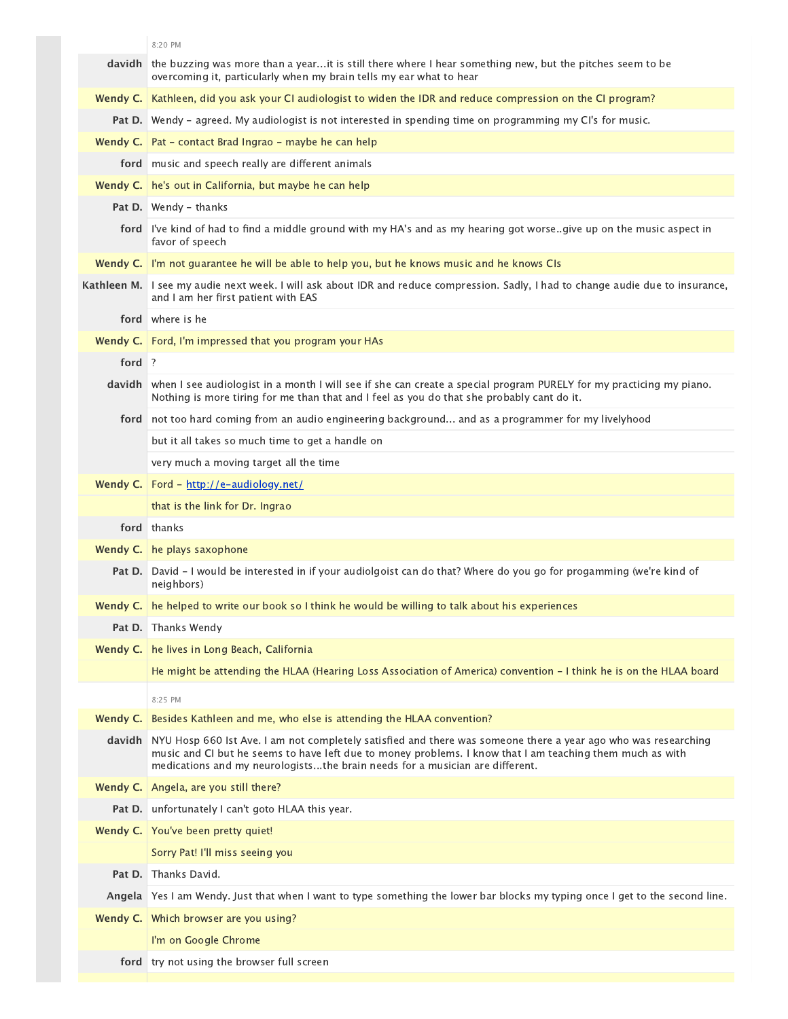|          | 8:20 PM                                                                                                                                                                                                                                                                                                     |
|----------|-------------------------------------------------------------------------------------------------------------------------------------------------------------------------------------------------------------------------------------------------------------------------------------------------------------|
| davidh   | the buzzing was more than a yearit is still there where I hear something new, but the pitches seem to be<br>overcoming it, particularly when my brain tells my ear what to hear                                                                                                                             |
| Wendy C. | Kathleen, did you ask your CI audiologist to widen the IDR and reduce compression on the CI program?                                                                                                                                                                                                        |
|          | Pat D. Wendy - agreed. My audiologist is not interested in spending time on programming my CI's for music.                                                                                                                                                                                                  |
|          | <b>Wendy C.</b> $\vert$ Pat – contact Brad Ingrao – maybe he can help                                                                                                                                                                                                                                       |
|          | ford music and speech really are different animals                                                                                                                                                                                                                                                          |
|          | Wendy C.   he's out in California, but maybe he can help                                                                                                                                                                                                                                                    |
|          | <b>Pat D.</b> Wendy - thanks                                                                                                                                                                                                                                                                                |
|          | ford I've kind of had to find a middle ground with my HA's and as my hearing got worse. give up on the music aspect in<br>favor of speech                                                                                                                                                                   |
|          | Wendy C. I'm not guarantee he will be able to help you, but he knows music and he knows CIs                                                                                                                                                                                                                 |
|          | Kathleen M. I see my audie next week. I will ask about IDR and reduce compression. Sadly, I had to change audie due to insurance,<br>and I am her first patient with EAS                                                                                                                                    |
|          | ford where is he                                                                                                                                                                                                                                                                                            |
|          | Wendy C.   Ford, I'm impressed that you program your HAs                                                                                                                                                                                                                                                    |
| ford ?   |                                                                                                                                                                                                                                                                                                             |
|          | davidh when I see audiologist in a month I will see if she can create a special program PURELY for my practicing my piano.<br>Nothing is more tiring for me than that and I feel as you do that she probably cant do it.                                                                                    |
|          | ford not too hard coming from an audio engineering background and as a programmer for my livelyhood                                                                                                                                                                                                         |
|          | but it all takes so much time to get a handle on                                                                                                                                                                                                                                                            |
|          | very much a moving target all the time                                                                                                                                                                                                                                                                      |
| Wendy C. | Ford - http://e-audiology.net/                                                                                                                                                                                                                                                                              |
|          | that is the link for Dr. Ingrao                                                                                                                                                                                                                                                                             |
|          | ford thanks                                                                                                                                                                                                                                                                                                 |
|          | Wendy C. he plays saxophone                                                                                                                                                                                                                                                                                 |
|          | Pat D. David - I would be interested in if your audiolgoist can do that? Where do you go for progamming (we're kind of<br>neighbors)                                                                                                                                                                        |
|          | Wendy C. he helped to write our book so I think he would be willing to talk about his experiences                                                                                                                                                                                                           |
|          | Pat D. Thanks Wendy                                                                                                                                                                                                                                                                                         |
| Wendy C. | he lives in Long Beach, California                                                                                                                                                                                                                                                                          |
|          | He might be attending the HLAA (Hearing Loss Association of America) convention – I think he is on the HLAA board                                                                                                                                                                                           |
|          | 8:25 PM                                                                                                                                                                                                                                                                                                     |
| Wendy C. | Besides Kathleen and me, who else is attending the HLAA convention?                                                                                                                                                                                                                                         |
| davidh   | NYU Hosp 660 lst Ave. I am not completely satisfied and there was someone there a year ago who was researching<br>music and CI but he seems to have left due to money problems. I know that I am teaching them much as with<br>medications and my neurologiststhe brain needs for a musician are different. |
| Wendy C. | Angela, are you still there?                                                                                                                                                                                                                                                                                |
|          | Pat D. unfortunately I can't goto HLAA this year.                                                                                                                                                                                                                                                           |
|          | Wendy C. You've been pretty quiet!                                                                                                                                                                                                                                                                          |
|          | Sorry Pat! I'll miss seeing you                                                                                                                                                                                                                                                                             |
| Pat D.   | Thanks David.                                                                                                                                                                                                                                                                                               |
|          | Angela Yes I am Wendy. Just that when I want to type something the lower bar blocks my typing once I get to the second line.                                                                                                                                                                                |
| Wendy C. | Which browser are you using?                                                                                                                                                                                                                                                                                |
|          | I'm on Google Chrome                                                                                                                                                                                                                                                                                        |
|          | ford   try not using the browser full screen                                                                                                                                                                                                                                                                |
|          |                                                                                                                                                                                                                                                                                                             |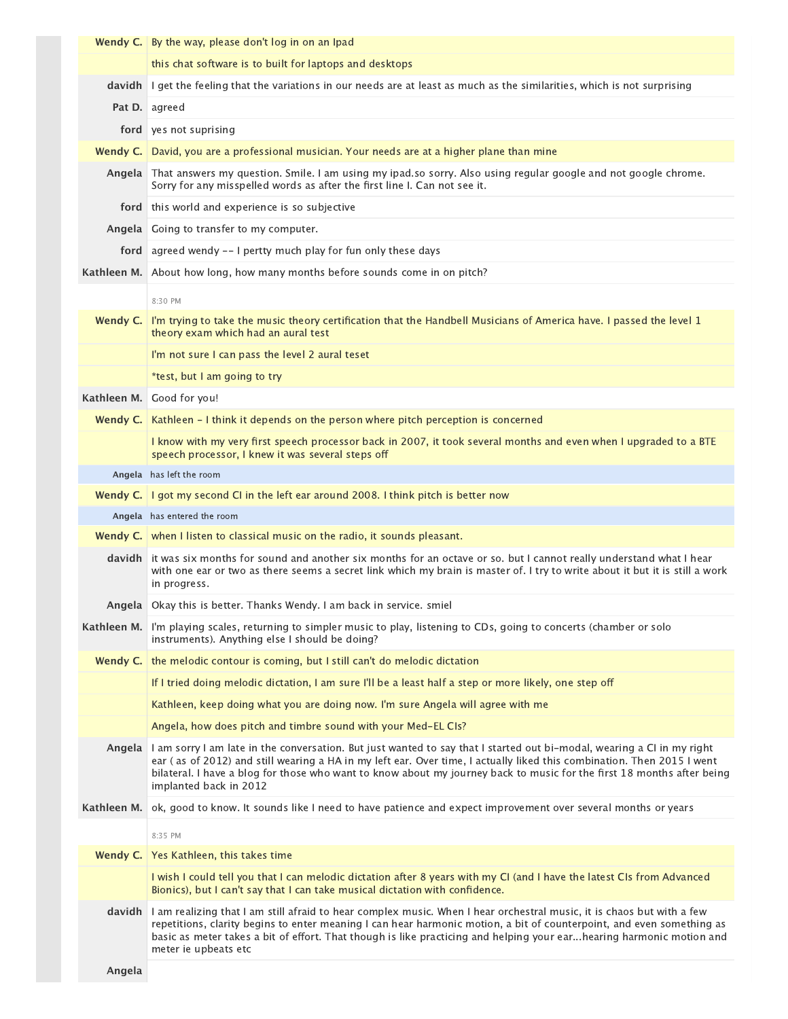|             | <b>Wendy C.</b> By the way, please don't log in on an Ipad                                                                                                                                                                                                                                                                                                                                           |
|-------------|------------------------------------------------------------------------------------------------------------------------------------------------------------------------------------------------------------------------------------------------------------------------------------------------------------------------------------------------------------------------------------------------------|
|             | this chat software is to built for laptops and desktops                                                                                                                                                                                                                                                                                                                                              |
| davidh      | I get the feeling that the variations in our needs are at least as much as the similarities, which is not surprising                                                                                                                                                                                                                                                                                 |
|             | Pat D. agreed                                                                                                                                                                                                                                                                                                                                                                                        |
|             | ford yes not suprising                                                                                                                                                                                                                                                                                                                                                                               |
| Wendy C.    | David, you are a professional musician. Your needs are at a higher plane than mine                                                                                                                                                                                                                                                                                                                   |
|             | Angela That answers my question. Smile. I am using my ipad.so sorry. Also using regular google and not google chrome.<br>Sorry for any misspelled words as after the first line I. Can not see it.                                                                                                                                                                                                   |
|             | ford this world and experience is so subjective                                                                                                                                                                                                                                                                                                                                                      |
|             | Angela Going to transfer to my computer.                                                                                                                                                                                                                                                                                                                                                             |
|             | ford agreed wendy -- I pertty much play for fun only these days                                                                                                                                                                                                                                                                                                                                      |
|             | Kathleen M. About how long, how many months before sounds come in on pitch?                                                                                                                                                                                                                                                                                                                          |
|             | 8:30 PM                                                                                                                                                                                                                                                                                                                                                                                              |
| Wendy C.    | I'm trying to take the music theory certification that the Handbell Musicians of America have. I passed the level 1<br>theory exam which had an aural test                                                                                                                                                                                                                                           |
|             | I'm not sure I can pass the level 2 aural teset                                                                                                                                                                                                                                                                                                                                                      |
|             | *test, but I am going to try                                                                                                                                                                                                                                                                                                                                                                         |
|             | Kathleen M. Good for you!                                                                                                                                                                                                                                                                                                                                                                            |
| Wendy C.    | Kathleen - I think it depends on the person where pitch perception is concerned                                                                                                                                                                                                                                                                                                                      |
|             | I know with my very first speech processor back in 2007, it took several months and even when I upgraded to a BTE<br>speech processor, I knew it was several steps off                                                                                                                                                                                                                               |
|             | Angela has left the room                                                                                                                                                                                                                                                                                                                                                                             |
|             | <b>Wendy C.</b> I got my second CI in the left ear around 2008. I think pitch is better now                                                                                                                                                                                                                                                                                                          |
|             | Angela has entered the room                                                                                                                                                                                                                                                                                                                                                                          |
|             | <b>Wendy C.</b> when I listen to classical music on the radio, it sounds pleasant.                                                                                                                                                                                                                                                                                                                   |
|             | davidh it was six months for sound and another six months for an octave or so. but I cannot really understand what I hear<br>with one ear or two as there seems a secret link which my brain is master of. I try to write about it but it is still a work<br>in progress.                                                                                                                            |
|             | Angela   Okay this is better. Thanks Wendy. I am back in service. smiel                                                                                                                                                                                                                                                                                                                              |
|             | Kathleen M. I'm playing scales, returning to simpler music to play, listening to CDs, going to concerts (chamber or solo<br>instruments). Anything else I should be doing?                                                                                                                                                                                                                           |
| Wendy C.    | the melodic contour is coming, but I still can't do melodic dictation                                                                                                                                                                                                                                                                                                                                |
|             | If I tried doing melodic dictation, I am sure I'll be a least half a step or more likely, one step off                                                                                                                                                                                                                                                                                               |
|             | Kathleen, keep doing what you are doing now. I'm sure Angela will agree with me                                                                                                                                                                                                                                                                                                                      |
|             | Angela, how does pitch and timbre sound with your Med-EL CIs?                                                                                                                                                                                                                                                                                                                                        |
| Angela      | I am sorry I am late in the conversation. But just wanted to say that I started out bi-modal, wearing a CI in my right<br>ear (as of 2012) and still wearing a HA in my left ear. Over time, I actually liked this combination. Then 2015 I went<br>bilateral. I have a blog for those who want to know about my journey back to music for the first 18 months after being<br>implanted back in 2012 |
| Kathleen M. | ok, good to know. It sounds like I need to have patience and expect improvement over several months or years                                                                                                                                                                                                                                                                                         |
|             | 8:35 PM                                                                                                                                                                                                                                                                                                                                                                                              |
|             | Wendy C.   Yes Kathleen, this takes time                                                                                                                                                                                                                                                                                                                                                             |
|             | I wish I could tell you that I can melodic dictation after 8 years with my CI (and I have the latest CIs from Advanced<br>Bionics), but I can't say that I can take musical dictation with confidence.                                                                                                                                                                                               |
| davidh      | I am realizing that I am still afraid to hear complex music. When I hear orchestral music, it is chaos but with a few<br>repetitions, clarity begins to enter meaning I can hear harmonic motion, a bit of counterpoint, and even something as<br>basic as meter takes a bit of effort. That though is like practicing and helping your earhearing harmonic motion and<br>meter ie upbeats etc       |
| Angela      |                                                                                                                                                                                                                                                                                                                                                                                                      |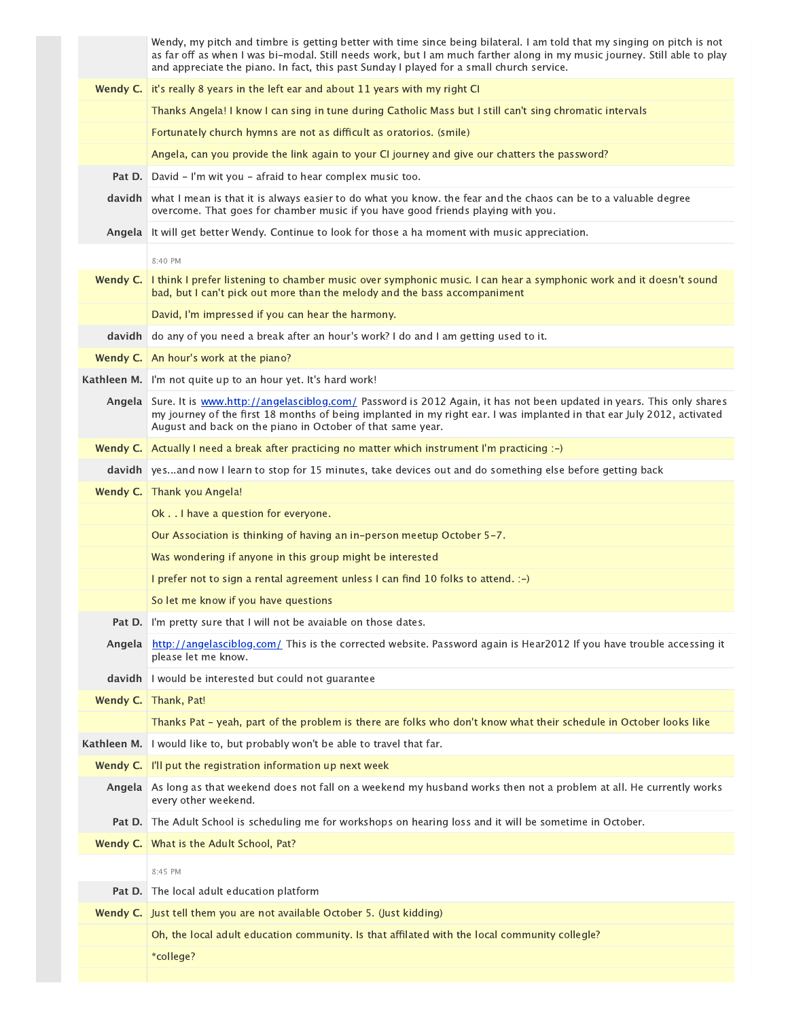|             | Wendy, my pitch and timbre is getting better with time since being bilateral. I am told that my singing on pitch is not<br>as far off as when I was bi-modal. Still needs work, but I am much farther along in my music journey. Still able to play<br>and appreciate the piano. In fact, this past Sunday I played for a small church service. |
|-------------|-------------------------------------------------------------------------------------------------------------------------------------------------------------------------------------------------------------------------------------------------------------------------------------------------------------------------------------------------|
| Wendy C.    | it's really 8 years in the left ear and about 11 years with my right CI                                                                                                                                                                                                                                                                         |
|             | Thanks Angela! I know I can sing in tune during Catholic Mass but I still can't sing chromatic intervals                                                                                                                                                                                                                                        |
|             | Fortunately church hymns are not as difficult as oratorios. (smile)                                                                                                                                                                                                                                                                             |
|             | Angela, can you provide the link again to your CI journey and give our chatters the password?                                                                                                                                                                                                                                                   |
| Pat D.      | David - I'm wit you - afraid to hear complex music too.                                                                                                                                                                                                                                                                                         |
|             | davidh what I mean is that it is always easier to do what you know. the fear and the chaos can be to a valuable degree<br>overcome. That goes for chamber music if you have good friends playing with you.                                                                                                                                      |
|             | Angela It will get better Wendy. Continue to look for those a ha moment with music appreciation.                                                                                                                                                                                                                                                |
|             | 8:40 PM                                                                                                                                                                                                                                                                                                                                         |
| Wendy C.    | I think I prefer listening to chamber music over symphonic music. I can hear a symphonic work and it doesn't sound<br>bad, but I can't pick out more than the melody and the bass accompaniment                                                                                                                                                 |
|             | David, I'm impressed if you can hear the harmony.                                                                                                                                                                                                                                                                                               |
| davidh      | do any of you need a break after an hour's work? I do and I am getting used to it.                                                                                                                                                                                                                                                              |
|             | Wendy C.   An hour's work at the piano?                                                                                                                                                                                                                                                                                                         |
|             | Kathleen M. I'm not quite up to an hour yet. It's hard work!                                                                                                                                                                                                                                                                                    |
|             | Angela Sure. It is www.http://angelasciblog.com/ Password is 2012 Again, it has not been updated in years. This only shares<br>my journey of the first 18 months of being implanted in my right ear. I was implanted in that ear July 2012, activated<br>August and back on the piano in October of that same year.                             |
|             | <b>Wendy C.</b> Actually I need a break after practicing no matter which instrument I'm practicing :-)                                                                                                                                                                                                                                          |
|             | davidh yesand now I learn to stop for 15 minutes, take devices out and do something else before getting back                                                                                                                                                                                                                                    |
|             | Wendy C.   Thank you Angela!                                                                                                                                                                                                                                                                                                                    |
|             | Ok I have a question for everyone.                                                                                                                                                                                                                                                                                                              |
|             | Our Association is thinking of having an in-person meetup October 5-7.                                                                                                                                                                                                                                                                          |
|             | Was wondering if anyone in this group might be interested                                                                                                                                                                                                                                                                                       |
|             | I prefer not to sign a rental agreement unless I can find 10 folks to attend. :-)                                                                                                                                                                                                                                                               |
|             | So let me know if you have questions                                                                                                                                                                                                                                                                                                            |
|             | <b>Pat D.</b> I'm pretty sure that I will not be avaiable on those dates.                                                                                                                                                                                                                                                                       |
| Angela      | http://angelasciblog.com/ This is the corrected website. Password again is Hear2012 If you have trouble accessing it<br>please let me know.                                                                                                                                                                                                     |
| davidh      | I would be interested but could not guarantee                                                                                                                                                                                                                                                                                                   |
| Wendy C.    | Thank, Pat!                                                                                                                                                                                                                                                                                                                                     |
|             | Thanks Pat - yeah, part of the problem is there are folks who don't know what their schedule in October looks like                                                                                                                                                                                                                              |
| Kathleen M. | I would like to, but probably won't be able to travel that far.                                                                                                                                                                                                                                                                                 |
| Wendy C.    | I'll put the registration information up next week                                                                                                                                                                                                                                                                                              |
| Angela      | As long as that weekend does not fall on a weekend my husband works then not a problem at all. He currently works<br>every other weekend.                                                                                                                                                                                                       |
| Pat D.      | The Adult School is scheduling me for workshops on hearing loss and it will be sometime in October.                                                                                                                                                                                                                                             |
|             | <b>Wendy C.</b> What is the Adult School, Pat?                                                                                                                                                                                                                                                                                                  |
|             | 8:45 PM                                                                                                                                                                                                                                                                                                                                         |
| Pat D.      | The local adult education platform                                                                                                                                                                                                                                                                                                              |
| Wendy C.    | Just tell them you are not available October 5. (Just kidding)                                                                                                                                                                                                                                                                                  |
|             | Oh, the local adult education community. Is that affilated with the local community collegle?                                                                                                                                                                                                                                                   |
|             | *college?                                                                                                                                                                                                                                                                                                                                       |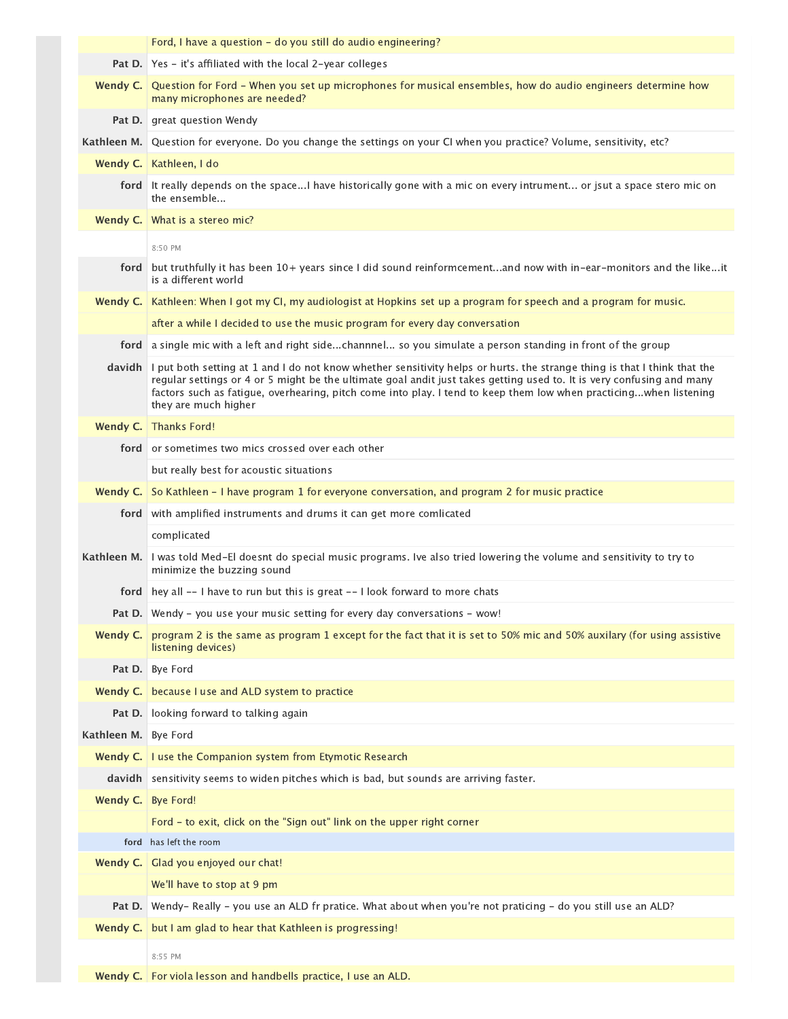|                      | Ford, I have a question - do you still do audio engineering?                                                                                                                                                                                                                                                                                                                                            |
|----------------------|---------------------------------------------------------------------------------------------------------------------------------------------------------------------------------------------------------------------------------------------------------------------------------------------------------------------------------------------------------------------------------------------------------|
|                      | <b>Pat D.</b> Yes – it's affiliated with the local 2-year colleges                                                                                                                                                                                                                                                                                                                                      |
|                      | Wendy C. Question for Ford - When you set up microphones for musical ensembles, how do audio engineers determine how<br>many microphones are needed?                                                                                                                                                                                                                                                    |
|                      | <b>Pat D.</b> great question Wendy                                                                                                                                                                                                                                                                                                                                                                      |
|                      | Kathleen M. Question for everyone. Do you change the settings on your CI when you practice? Volume, sensitivity, etc?                                                                                                                                                                                                                                                                                   |
|                      | Wendy C.   Kathleen, I do                                                                                                                                                                                                                                                                                                                                                                               |
|                      | ford It really depends on the spaceI have historically gone with a mic on every intrument or jsut a space stero mic on<br>the ensemble                                                                                                                                                                                                                                                                  |
|                      | <b>Wendy C.</b> What is a stereo mic?                                                                                                                                                                                                                                                                                                                                                                   |
|                      | 8:50 PM                                                                                                                                                                                                                                                                                                                                                                                                 |
|                      | ford but truthfully it has been 10+ years since I did sound reinformcementand now with in-ear-monitors and the likeit<br>is a different world                                                                                                                                                                                                                                                           |
|                      | Wendy C.   Kathleen: When I got my CI, my audiologist at Hopkins set up a program for speech and a program for music.                                                                                                                                                                                                                                                                                   |
|                      | after a while I decided to use the music program for every day conversation                                                                                                                                                                                                                                                                                                                             |
|                      | ford a single mic with a left and right sidechannnel so you simulate a person standing in front of the group                                                                                                                                                                                                                                                                                            |
|                      | davidh   I put both setting at 1 and I do not know whether sensitivity helps or hurts. the strange thing is that I think that the<br>regular settings or 4 or 5 might be the ultimate goal andit just takes getting used to. It is very confusing and many<br>factors such as fatigue, overhearing, pitch come into play. I tend to keep them low when practicingwhen listening<br>they are much higher |
|                      | Wendy C. Thanks Ford!                                                                                                                                                                                                                                                                                                                                                                                   |
|                      | ford or sometimes two mics crossed over each other                                                                                                                                                                                                                                                                                                                                                      |
|                      | but really best for acoustic situations                                                                                                                                                                                                                                                                                                                                                                 |
| Wendy C.             | So Kathleen - I have program 1 for everyone conversation, and program 2 for music practice                                                                                                                                                                                                                                                                                                              |
|                      | ford with amplified instruments and drums it can get more comlicated                                                                                                                                                                                                                                                                                                                                    |
|                      | complicated                                                                                                                                                                                                                                                                                                                                                                                             |
|                      | Kathleen M.   I was told Med-El doesnt do special music programs. Ive also tried lowering the volume and sensitivity to try to<br>minimize the buzzing sound                                                                                                                                                                                                                                            |
|                      | <b>ford</b> hey all -- I have to run but this is great -- I look forward to more chats                                                                                                                                                                                                                                                                                                                  |
|                      | Pat D. Wendy - you use your music setting for every day conversations - wow!                                                                                                                                                                                                                                                                                                                            |
| Wendy C.             | program 2 is the same as program 1 except for the fact that it is set to 50% mic and 50% auxilary (for using assistive<br>listening devices)                                                                                                                                                                                                                                                            |
|                      | Pat D. Bye Ford                                                                                                                                                                                                                                                                                                                                                                                         |
| Wendy C.             |                                                                                                                                                                                                                                                                                                                                                                                                         |
|                      | because I use and ALD system to practice                                                                                                                                                                                                                                                                                                                                                                |
|                      | <b>Pat D.</b> looking forward to talking again                                                                                                                                                                                                                                                                                                                                                          |
| Kathleen M. Bye Ford |                                                                                                                                                                                                                                                                                                                                                                                                         |
| Wendy C.             | I use the Companion system from Etymotic Research                                                                                                                                                                                                                                                                                                                                                       |
|                      | davidh sensitivity seems to widen pitches which is bad, but sounds are arriving faster.                                                                                                                                                                                                                                                                                                                 |
| Wendy C. Bye Ford!   |                                                                                                                                                                                                                                                                                                                                                                                                         |
|                      | Ford - to exit, click on the "Sign out" link on the upper right corner                                                                                                                                                                                                                                                                                                                                  |
|                      | ford has left the room                                                                                                                                                                                                                                                                                                                                                                                  |
|                      | Wendy C. Glad you enjoyed our chat!                                                                                                                                                                                                                                                                                                                                                                     |
|                      | We'll have to stop at 9 pm                                                                                                                                                                                                                                                                                                                                                                              |
|                      | Pat D. Wendy-Really - you use an ALD fr pratice. What about when you're not praticing - do you still use an ALD?                                                                                                                                                                                                                                                                                        |
| Wendy C.             | but I am glad to hear that Kathleen is progressing!                                                                                                                                                                                                                                                                                                                                                     |

**Wendy C.** For viola lesson and handbells practice, I use an ALD.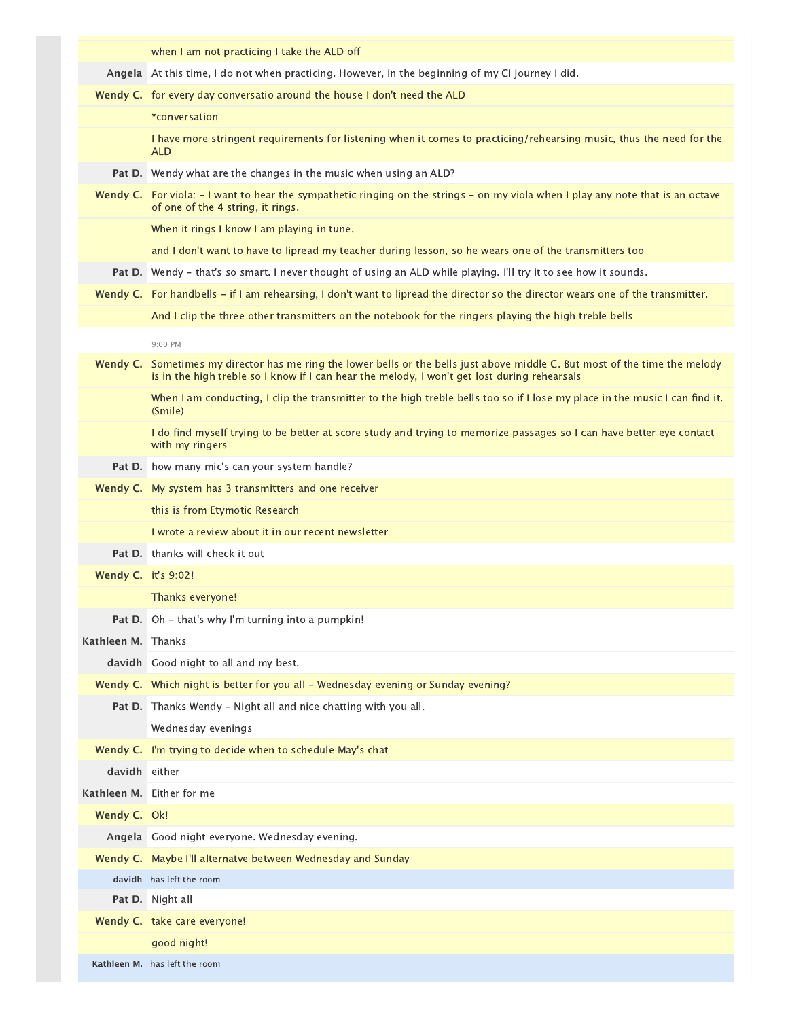|                            | when I am not practicing I take the ALD off                                                                                                                                                                         |
|----------------------------|---------------------------------------------------------------------------------------------------------------------------------------------------------------------------------------------------------------------|
| Angela                     | At this time, I do not when practicing. However, in the beginning of my CI journey I did.                                                                                                                           |
|                            | Wendy C.   for every day conversatio around the house I don't need the ALD                                                                                                                                          |
|                            | *conversation                                                                                                                                                                                                       |
|                            | I have more stringent requirements for listening when it comes to practicing/rehearsing music, thus the need for the<br><b>ALD</b>                                                                                  |
| Pat D.                     | Wendy what are the changes in the music when using an ALD?                                                                                                                                                          |
| Wendy C.                   | For viola: $-1$ want to hear the sympathetic ringing on the strings $-$ on my viola when I play any note that is an octave<br>of one of the 4 string, it rings.                                                     |
|                            | When it rings I know I am playing in tune.                                                                                                                                                                          |
|                            | and I don't want to have to lipread my teacher during lesson, so he wears one of the transmitters too                                                                                                               |
| Pat D.                     | Wendy - that's so smart. I never thought of using an ALD while playing. I'll try it to see how it sounds.                                                                                                           |
| Wendy C.                   | For handbells – if I am rehearsing, I don't want to lipread the director so the director wears one of the transmitter.                                                                                              |
|                            | And I clip the three other transmitters on the notebook for the ringers playing the high treble bells                                                                                                               |
|                            | 9:00 PM                                                                                                                                                                                                             |
| Wendy C.                   | Sometimes my director has me ring the lower bells or the bells just above middle C. But most of the time the melody<br>is in the high treble so I know if I can hear the melody, I won't get lost during rehearsals |
|                            | When I am conducting, I clip the transmitter to the high treble bells too so if I lose my place in the music I can find it.<br>(Smile)                                                                              |
|                            | I do find myself trying to be better at score study and trying to memorize passages so I can have better eye contact<br>with my ringers                                                                             |
| Pat D.                     | how many mic's can your system handle?                                                                                                                                                                              |
|                            | <b>Wendy C.</b> My system has 3 transmitters and one receiver                                                                                                                                                       |
|                            | this is from Etymotic Research                                                                                                                                                                                      |
|                            | I wrote a review about it in our recent newsletter                                                                                                                                                                  |
|                            | <b>Pat D.</b> thanks will check it out                                                                                                                                                                              |
| <b>Wendy C.</b> it's 9:02! |                                                                                                                                                                                                                     |
|                            | Thanks everyone!                                                                                                                                                                                                    |
|                            | Oh - that's why I'm turning into a pumpkin!                                                                                                                                                                         |
| Kathleen M.                | Thanks                                                                                                                                                                                                              |
|                            | davidh Good night to all and my best.                                                                                                                                                                               |
| Wendy C.                   | Which night is better for you all - Wednesday evening or Sunday evening?                                                                                                                                            |
| Pat D.                     | Thanks Wendy - Night all and nice chatting with you all.                                                                                                                                                            |
|                            | Wednesday evenings                                                                                                                                                                                                  |
| Wendy C.                   | I'm trying to decide when to schedule May's chat                                                                                                                                                                    |
| davidh either              |                                                                                                                                                                                                                     |
|                            | Kathleen M. Either for me                                                                                                                                                                                           |
| Wendy C.   Ok!             |                                                                                                                                                                                                                     |
|                            | Angela Good night everyone. Wednesday evening.                                                                                                                                                                      |
| Wendy C.                   | Maybe I'll alternatve between Wednesday and Sunday                                                                                                                                                                  |
| davidh                     | has left the room                                                                                                                                                                                                   |
| Pat D.                     | Night all<br>Wendy C.   take care everyone!                                                                                                                                                                         |
|                            | good night!                                                                                                                                                                                                         |
|                            | Kathleen M. has left the room                                                                                                                                                                                       |